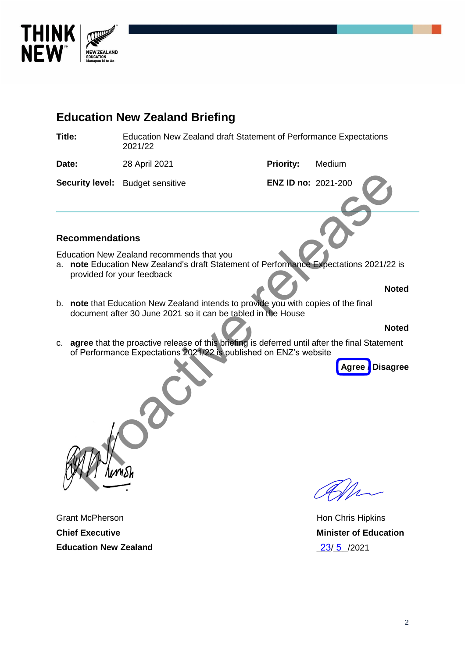

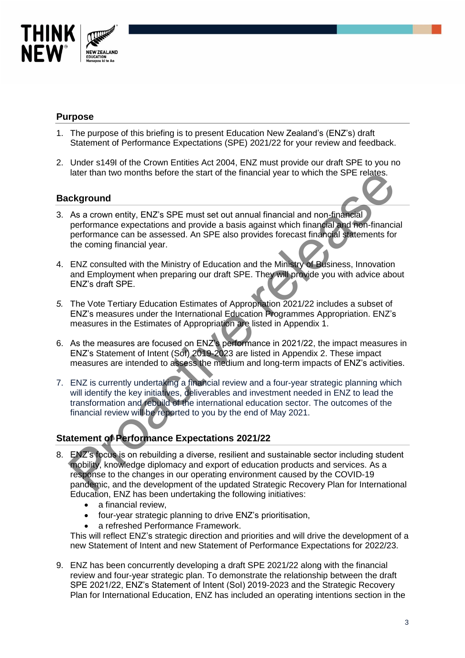

### **Purpose**

- 1. The purpose of this briefing is to present Education New Zealand's (ENZ's) draft Statement of Performance Expectations (SPE) 2021/22 for your review and feedback.
- 2. Under s149I of the Crown Entities Act 2004, ENZ must provide our draft SPE to you no later than two months before the start of the financial year to which the SPE relates.

#### **Background**

- 3. As a crown entity, ENZ's SPE must set out annual financial and non-financial performance expectations and provide a basis against which financial and non-financial performance can be assessed. An SPE also provides forecast financial statements for the coming financial year.
- 4. ENZ consulted with the Ministry of Education and the Ministry of Business, Innovation and Employment when preparing our draft SPE. They will provide you with advice about ENZ's draft SPE.
- *5.* The Vote Tertiary Education Estimates of Appropriation 2021/22 includes a subset of ENZ's measures under the International Education Programmes Appropriation. ENZ's measures in the Estimates of Appropriation are listed in Appendix 1.
- 6. As the measures are focused on ENZ's performance in 2021/22, the impact measures in ENZ's Statement of Intent (SoI) 2019-2023 are listed in Appendix 2. These impact measures are intended to assess the medium and long-term impacts of ENZ's activities.
- 7. ENZ is currently undertaking a financial review and a four-year strategic planning which will identify the key initiatives, deliverables and investment needed in ENZ to lead the transformation and rebuild of the international education sector. The outcomes of the financial review will be reported to you by the end of May 2021.

# **Statement of Performance Expectations 2021/22**

- 8. ENZ's focus is on rebuilding a diverse, resilient and sustainable sector including student mobility, knowledge diplomacy and export of education products and services. As a response to the changes in our operating environment caused by the COVID-19 pandemic, and the development of the updated Strategic Recovery Plan for International Education, ENZ has been undertaking the following initiatives: iater than two months before the start of the financial year to which the SPE relates.<br> **Ckground**<br>
As a crown entity, ENZ's SPE must set out annual financial and non-financial<br>
performance expectations and provide a basis
	- a financial review,
	- four-year strategic planning to drive ENZ's prioritisation,
	- a refreshed Performance Framework.

This will reflect ENZ's strategic direction and priorities and will drive the development of a new Statement of Intent and new Statement of Performance Expectations for 2022/23.

9. ENZ has been concurrently developing a draft SPE 2021/22 along with the financial review and four-year strategic plan. To demonstrate the relationship between the draft SPE 2021/22, ENZ's Statement of Intent (SoI) 2019-2023 and the Strategic Recovery Plan for International Education, ENZ has included an operating intentions section in the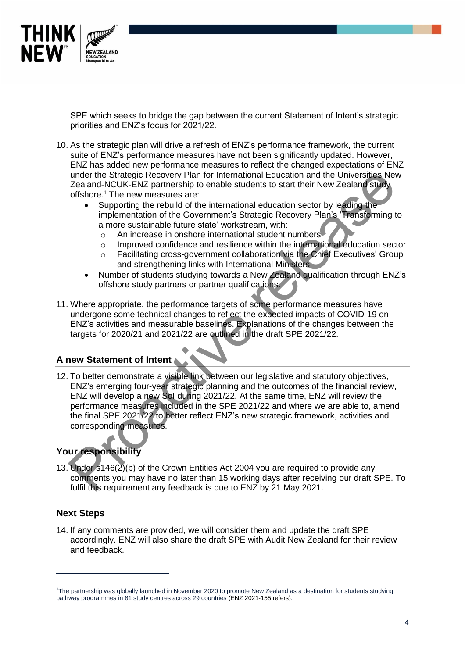

SPE which seeks to bridge the gap between the current Statement of Intent's strategic priorities and ENZ's focus for 2021/22.

- 10. As the strategic plan will drive a refresh of ENZ's performance framework, the current suite of ENZ's performance measures have not been significantly updated. However, ENZ has added new performance measures to reflect the changed expectations of ENZ under the Strategic Recovery Plan for International Education and the Universities New Zealand-NCUK-ENZ partnership to enable students to start their New Zealand study offshore.<sup>1</sup> The new measures are:
	- Supporting the rebuild of the international education sector by leading the implementation of the Government's Strategic Recovery Plan's 'Transforming to a more sustainable future state' workstream, with:
		- o An increase in onshore international student numbers
		- o Improved confidence and resilience within the international education sector
		- o Facilitating cross-government collaboration via the Chief Executives' Group and strengthening links with International Ministers
	- Number of students studying towards a New Zealand qualification through ENZ's offshore study partners or partner qualifications.
- 11. Where appropriate, the performance targets of some performance measures have undergone some technical changes to reflect the expected impacts of COVID-19 on ENZ's activities and measurable baselines. Explanations of the changes between the targets for 2020/21 and 2021/22 are outlined in the draft SPE 2021/22.

#### **A new Statement of Intent**

12. To better demonstrate a visible link between our legislative and statutory objectives, ENZ's emerging four-year strategic planning and the outcomes of the financial review, ENZ will develop a new SoI during 2021/22. At the same time, ENZ will review the performance measures included in the SPE 2021/22 and where we are able to, amend the final SPE 2021/22 to better reflect ENZ's new strategic framework, activities and corresponding measures. under the Strategic Recovery Plan for International Education and the Universities Need<br>
Testand-NCUK-ENZ partnership to enable students to start their New Zealand-Sudy<br>
offshore." The new measures are:<br>
• Supporting the r

## **Your responsibility**

13. Under s146(2)(b) of the Crown Entities Act 2004 you are required to provide any comments you may have no later than 15 working days after receiving our draft SPE. To fulfil this requirement any feedback is due to ENZ by 21 May 2021.

#### **Next Steps**

l

14. If any comments are provided, we will consider them and update the draft SPE accordingly. ENZ will also share the draft SPE with Audit New Zealand for their review and feedback.

<sup>1</sup>The partnership was globally launched in November 2020 to promote New Zealand as a destination for students studying pathway programmes in 81 study centres across 29 countries (ENZ 2021-155 refers).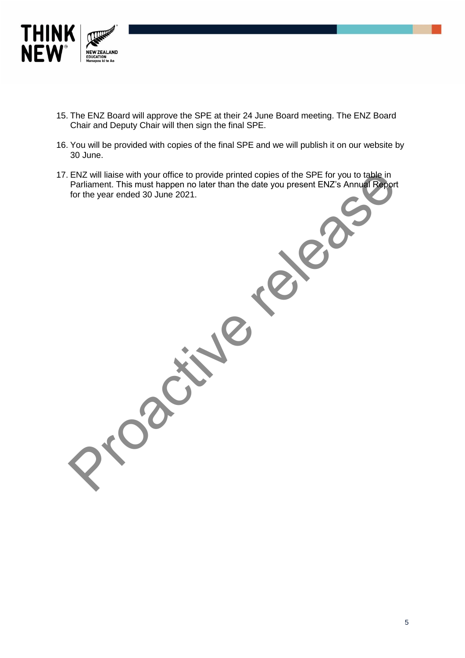

- 15. The ENZ Board will approve the SPE at their 24 June Board meeting. The ENZ Board Chair and Deputy Chair will then sign the final SPE.
- 16. You will be provided with copies of the final SPE and we will publish it on our website by 30 June.
- 17. ENZ will liaise with your office to provide printed copies of the SPE for you to table in Parliament. This must happen no later than the date you present ENZ's Annual Report for the year ended 30 June 2021.

Programs relies

5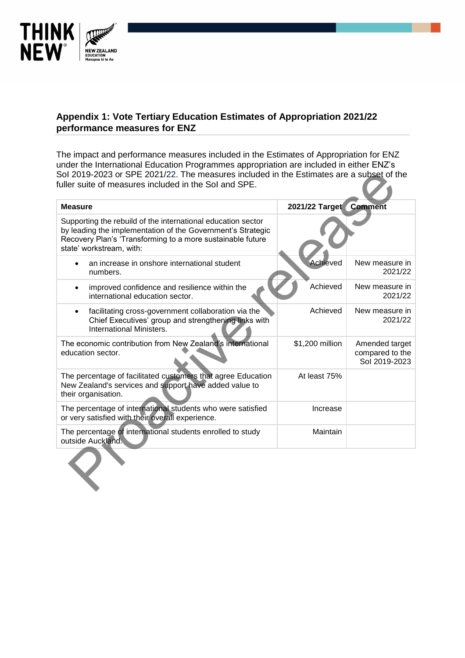

## **Appendix 1: Vote Tertiary Education Estimates of Appropriation 2021/22 performance measures for ENZ**

The impact and performance measures included in the Estimates of Appropriation for ENZ under the International Education Programmes appropriation are included in either ENZ's SoI 2019-2023 or SPE 2021/22. The measures included in the Estimates are a subset of the fuller suite of measures included in the SoI and SPE.

| Sol 2019-2023 or SPE 2021/22. The measures included in the Estimates are a subset of the<br>fuller suite of measures included in the Sol and SPE.                                                                     |                        |                                                    |  |
|-----------------------------------------------------------------------------------------------------------------------------------------------------------------------------------------------------------------------|------------------------|----------------------------------------------------|--|
| <b>Measure</b>                                                                                                                                                                                                        | 2021/22 Target Comment |                                                    |  |
| Supporting the rebuild of the international education sector<br>by leading the implementation of the Government's Strategic<br>Recovery Plan's 'Transforming to a more sustainable future<br>state' workstream, with: |                        |                                                    |  |
| an increase in onshore international student<br>numbers.                                                                                                                                                              | Achieved               | New measure in<br>2021/22                          |  |
| improved confidence and resilience within the<br>international education sector.                                                                                                                                      | Achieved               | New measure in<br>2021/22                          |  |
| facilitating cross-government collaboration via the<br>$\bullet$<br>Chief Executives' group and strengthening links with<br>International Ministers.                                                                  | Achieved               | New measure in<br>2021/22                          |  |
| The economic contribution from New Zealand's international<br>education sector.                                                                                                                                       | \$1,200 million        | Amended target<br>compared to the<br>Sol 2019-2023 |  |
| The percentage of facilitated customers that agree Education<br>New Zealand's services and support have added value to<br>their organisation.                                                                         | At least 75%           |                                                    |  |
| The percentage of international students who were satisfied<br>or very satisfied with their overall experience.                                                                                                       | Increase               |                                                    |  |
| The percentage of international students enrolled to study<br>outside Auckland.                                                                                                                                       | Maintain               |                                                    |  |
|                                                                                                                                                                                                                       |                        |                                                    |  |